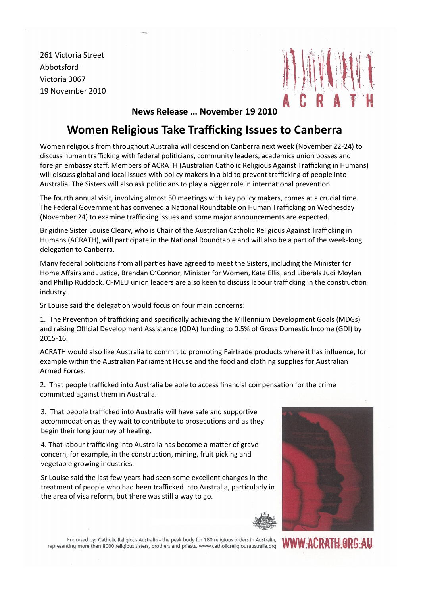261 Victoria Street Abbotsford Victoria 3067 19 November 2010



## **News Release … November 19 2010**

## **Women Religious Take Trafficking Issues to Canberra**

Women religious from throughout Australia will descend on Canberra next week (November 22-24) to discuss human trafficking with federal politicians, community leaders, academics union bosses and foreign embassy staff. Members of ACRATH (Australian Catholic Religious Against Trafficking in Humans) will discuss global and local issues with policy makers in a bid to prevent trafficking of people into Australia. The Sisters will also ask politicians to play a bigger role in international prevention.

The fourth annual visit, involving almost 50 meetings with key policy makers, comes at a crucial time. The Federal Government has convened a National Roundtable on Human Trafficking on Wednesday (November 24) to examine trafficking issues and some major announcements are expected.

Brigidine Sister Louise Cleary, who is Chair of the Australian Catholic Religious Against Trafficking in Humans (ACRATH), will participate in the National Roundtable and will also be a part of the week-long delegation to Canberra.

Many federal politicians from all parties have agreed to meet the Sisters, including the Minister for Home Affairs and Justice, Brendan O'Connor, Minister for Women, Kate Ellis, and Liberals Judi Moylan and Phillip Ruddock. CFMEU union leaders are also keen to discuss labour trafficking in the construction industry.

Sr Louise said the delegation would focus on four main concerns:

1. The Prevention of trafficking and specifically achieving the Millennium Development Goals (MDGs) and raising Official Development Assistance (ODA) funding to 0.5% of Gross Domestic Income (GDI) by 2015-16.

ACRATH would also like Australia to commit to promoting Fairtrade products where it has influence, for example within the Australian Parliament House and the food and clothing supplies for Australian Armed Forces.

2. That people trafficked into Australia be able to access financial compensation for the crime committed against them in Australia.

3. That people trafficked into Australia will have safe and supportive accommodation as they wait to contribute to prosecutions and as they begin their long journey of healing.

4. That labour trafficking into Australia has become a matter of grave concern, for example, in the construction, mining, fruit picking and vegetable growing industries.

Sr Louise said the last few years had seen some excellent changes in the treatment of people who had been trafficked into Australia, particularly in the area of visa reform, but there was still a way to go.



Endorsed by: Catholic Religious Australia - the peak body for 180 religious orders in Australia, representing more than 8000 religious sisters, brothers and priests. www.catholicreligiousaustralia.org

WWW-ACRATH ORG-AU